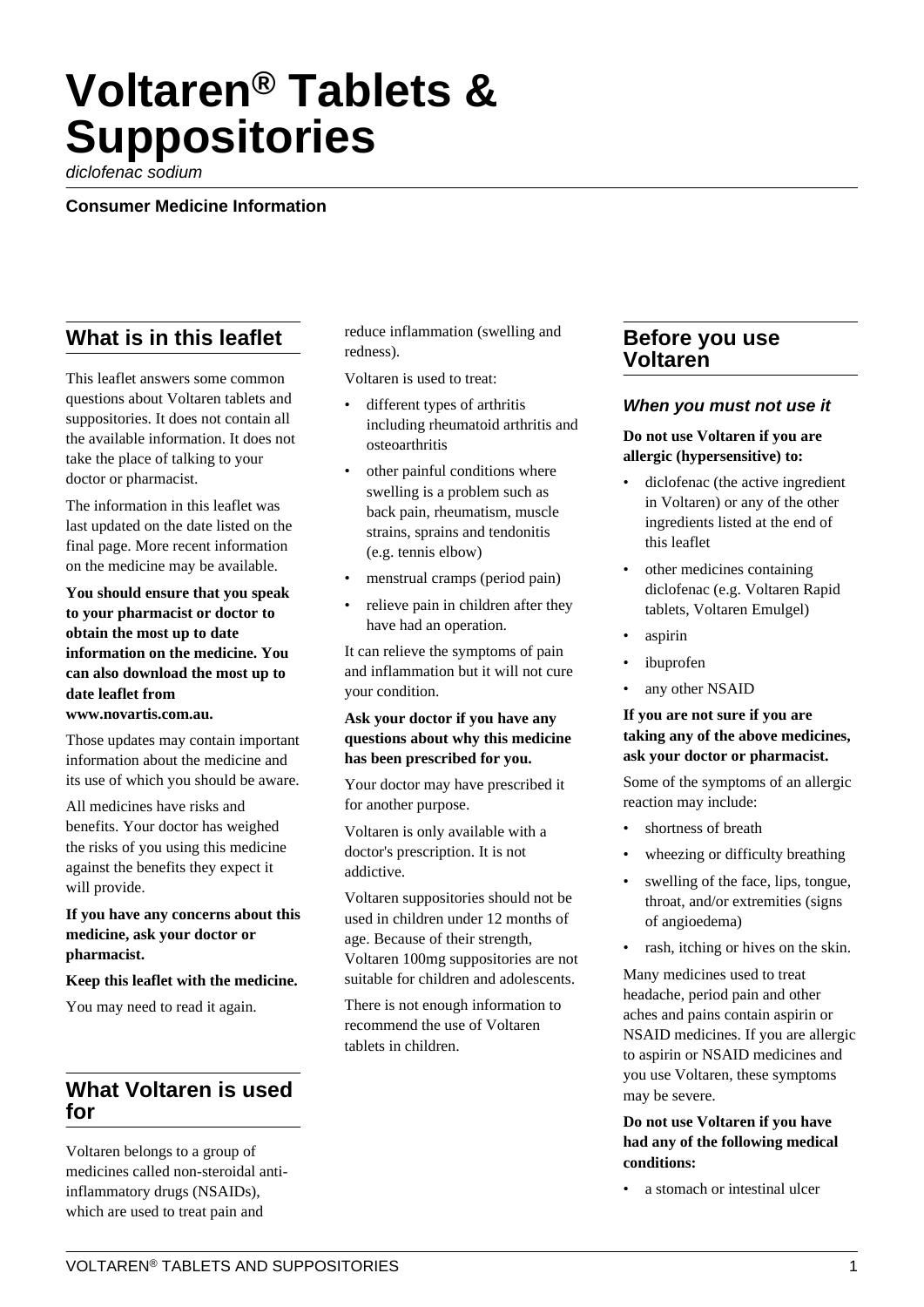# **Voltaren® Tablets & Suppositories**

diclofenac sodium

**Consumer Medicine Information**

# **What is in this leaflet**

This leaflet answers some common questions about Voltaren tablets and suppositories. It does not contain all the available information. It does not take the place of talking to your doctor or pharmacist.

The information in this leaflet was last updated on the date listed on the final page. More recent information on the medicine may be available.

**You should ensure that you speak to your pharmacist or doctor to obtain the most up to date information on the medicine. You can also download the most up to date leaflet from**

**www.novartis.com.au.**

Those updates may contain important information about the medicine and its use of which you should be aware.

All medicines have risks and benefits. Your doctor has weighed the risks of you using this medicine against the benefits they expect it will provide.

**If you have any concerns about this medicine, ask your doctor or pharmacist.**

**Keep this leaflet with the medicine.**

You may need to read it again.

# **What Voltaren is used for**

Voltaren belongs to a group of medicines called non-steroidal antiinflammatory drugs (NSAIDs), which are used to treat pain and

reduce inflammation (swelling and redness).

Voltaren is used to treat:

- different types of arthritis including rheumatoid arthritis and osteoarthritis
- other painful conditions where swelling is a problem such as back pain, rheumatism, muscle strains, sprains and tendonitis (e.g. tennis elbow)
- menstrual cramps (period pain)
- relieve pain in children after they have had an operation.

It can relieve the symptoms of pain and inflammation but it will not cure your condition.

#### **Ask your doctor if you have any questions about why this medicine has been prescribed for you.**

Your doctor may have prescribed it for another purpose.

Voltaren is only available with a doctor's prescription. It is not addictive.

Voltaren suppositories should not be used in children under 12 months of age. Because of their strength, Voltaren 100mg suppositories are not suitable for children and adolescents.

There is not enough information to recommend the use of Voltaren tablets in children.

# **Before you use Voltaren**

#### **When you must not use it**

#### **Do not use Voltaren if you are allergic (hypersensitive) to:**

- diclofenac (the active ingredient in Voltaren) or any of the other ingredients listed at the end of this leaflet
- other medicines containing diclofenac (e.g. Voltaren Rapid tablets, Voltaren Emulgel)
- aspirin
- ibuprofen
- any other NSAID

#### **If you are not sure if you are taking any of the above medicines, ask your doctor or pharmacist.**

Some of the symptoms of an allergic reaction may include:

- shortness of breath
- wheezing or difficulty breathing
- swelling of the face, lips, tongue, throat, and/or extremities (signs of angioedema)
- rash, itching or hives on the skin.

Many medicines used to treat headache, period pain and other aches and pains contain aspirin or NSAID medicines. If you are allergic to aspirin or NSAID medicines and you use Voltaren, these symptoms may be severe.

#### **Do not use Voltaren if you have had any of the following medical conditions:**

a stomach or intestinal ulcer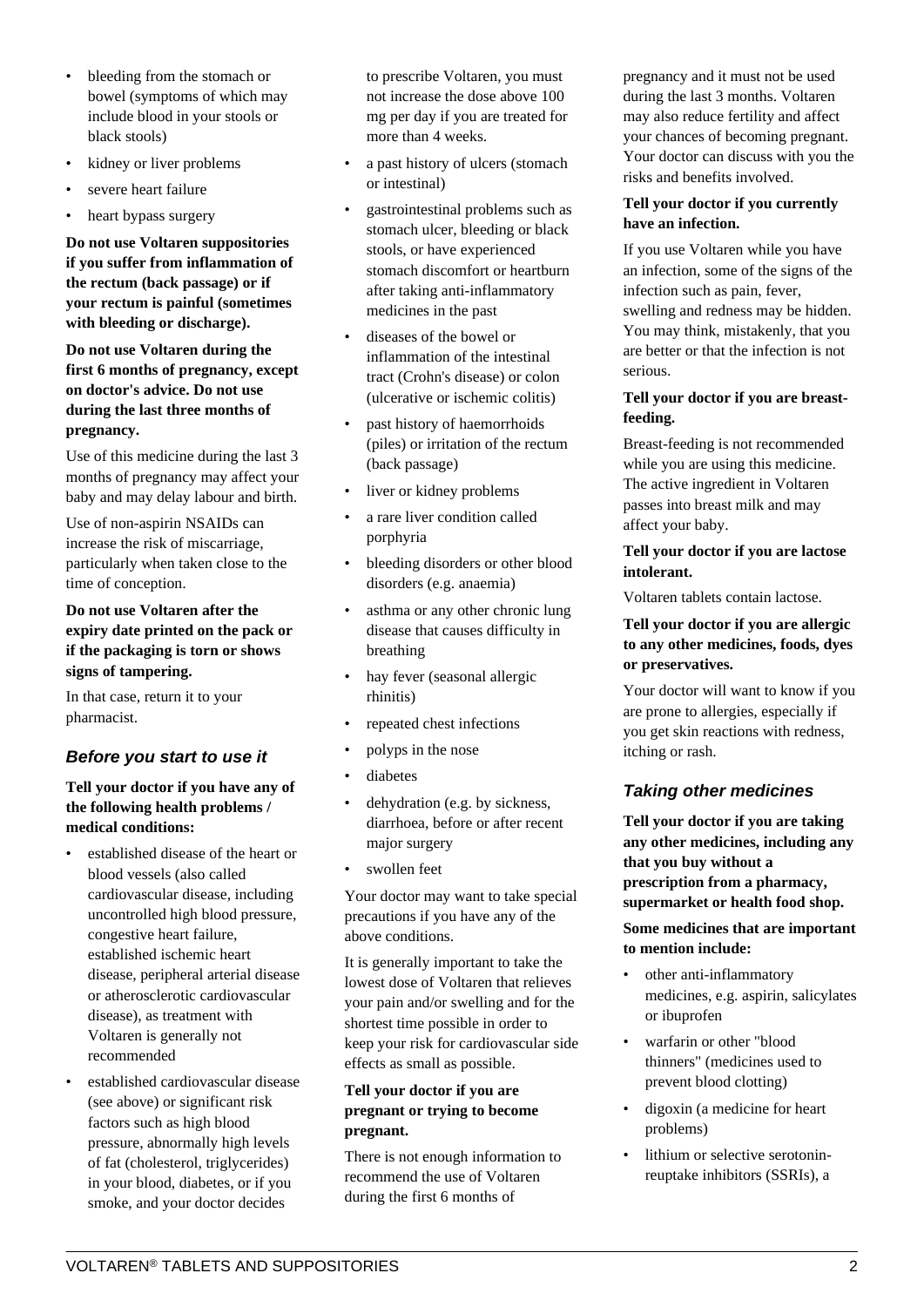- bleeding from the stomach or bowel (symptoms of which may include blood in your stools or black stools)
- kidney or liver problems
- severe heart failure
- heart bypass surgery

**Do not use Voltaren suppositories if you suffer from inflammation of the rectum (back passage) or if your rectum is painful (sometimes with bleeding or discharge).**

**Do not use Voltaren during the first 6 months of pregnancy, except on doctor's advice. Do not use during the last three months of pregnancy.**

Use of this medicine during the last 3 months of pregnancy may affect your baby and may delay labour and birth.

Use of non-aspirin NSAIDs can increase the risk of miscarriage, particularly when taken close to the time of conception.

#### **Do not use Voltaren after the expiry date printed on the pack or if the packaging is torn or shows signs of tampering.**

In that case, return it to your pharmacist.

# **Before you start to use it**

#### **Tell your doctor if you have any of the following health problems / medical conditions:**

- established disease of the heart or blood vessels (also called cardiovascular disease, including uncontrolled high blood pressure, congestive heart failure, established ischemic heart disease, peripheral arterial disease or atherosclerotic cardiovascular disease), as treatment with Voltaren is generally not recommended
- established cardiovascular disease (see above) or significant risk factors such as high blood pressure, abnormally high levels of fat (cholesterol, triglycerides) in your blood, diabetes, or if you smoke, and your doctor decides

to prescribe Voltaren, you must not increase the dose above 100 mg per day if you are treated for more than 4 weeks.

- a past history of ulcers (stomach or intestinal)
- gastrointestinal problems such as stomach ulcer, bleeding or black stools, or have experienced stomach discomfort or heartburn after taking anti-inflammatory medicines in the past
- diseases of the bowel or inflammation of the intestinal tract (Crohn's disease) or colon (ulcerative or ischemic colitis)
- past history of haemorrhoids (piles) or irritation of the rectum (back passage)
- liver or kidney problems
- a rare liver condition called porphyria
- bleeding disorders or other blood disorders (e.g. anaemia)
- asthma or any other chronic lung disease that causes difficulty in breathing
- hay fever (seasonal allergic rhinitis)
- repeated chest infections
- polyps in the nose
- diabetes
- dehydration (e.g. by sickness, diarrhoea, before or after recent major surgery
- swollen feet

Your doctor may want to take special precautions if you have any of the above conditions.

It is generally important to take the lowest dose of Voltaren that relieves your pain and/or swelling and for the shortest time possible in order to keep your risk for cardiovascular side effects as small as possible.

#### **Tell your doctor if you are pregnant or trying to become pregnant.**

There is not enough information to recommend the use of Voltaren during the first 6 months of

pregnancy and it must not be used during the last 3 months. Voltaren may also reduce fertility and affect your chances of becoming pregnant. Your doctor can discuss with you the risks and benefits involved.

#### **Tell your doctor if you currently have an infection.**

If you use Voltaren while you have an infection, some of the signs of the infection such as pain, fever, swelling and redness may be hidden. You may think, mistakenly, that you are better or that the infection is not serious.

#### **Tell your doctor if you are breastfeeding.**

Breast-feeding is not recommended while you are using this medicine. The active ingredient in Voltaren passes into breast milk and may affect your baby.

#### **Tell your doctor if you are lactose intolerant.**

Voltaren tablets contain lactose.

#### **Tell your doctor if you are allergic to any other medicines, foods, dyes or preservatives.**

Your doctor will want to know if you are prone to allergies, especially if you get skin reactions with redness, itching or rash.

#### **Taking other medicines**

**Tell your doctor if you are taking any other medicines, including any that you buy without a prescription from a pharmacy, supermarket or health food shop.**

#### **Some medicines that are important to mention include:**

- other anti-inflammatory medicines, e.g. aspirin, salicylates or ibuprofen
- warfarin or other "blood thinners" (medicines used to prevent blood clotting)
- digoxin (a medicine for heart problems)
- lithium or selective serotoninreuptake inhibitors (SSRIs), a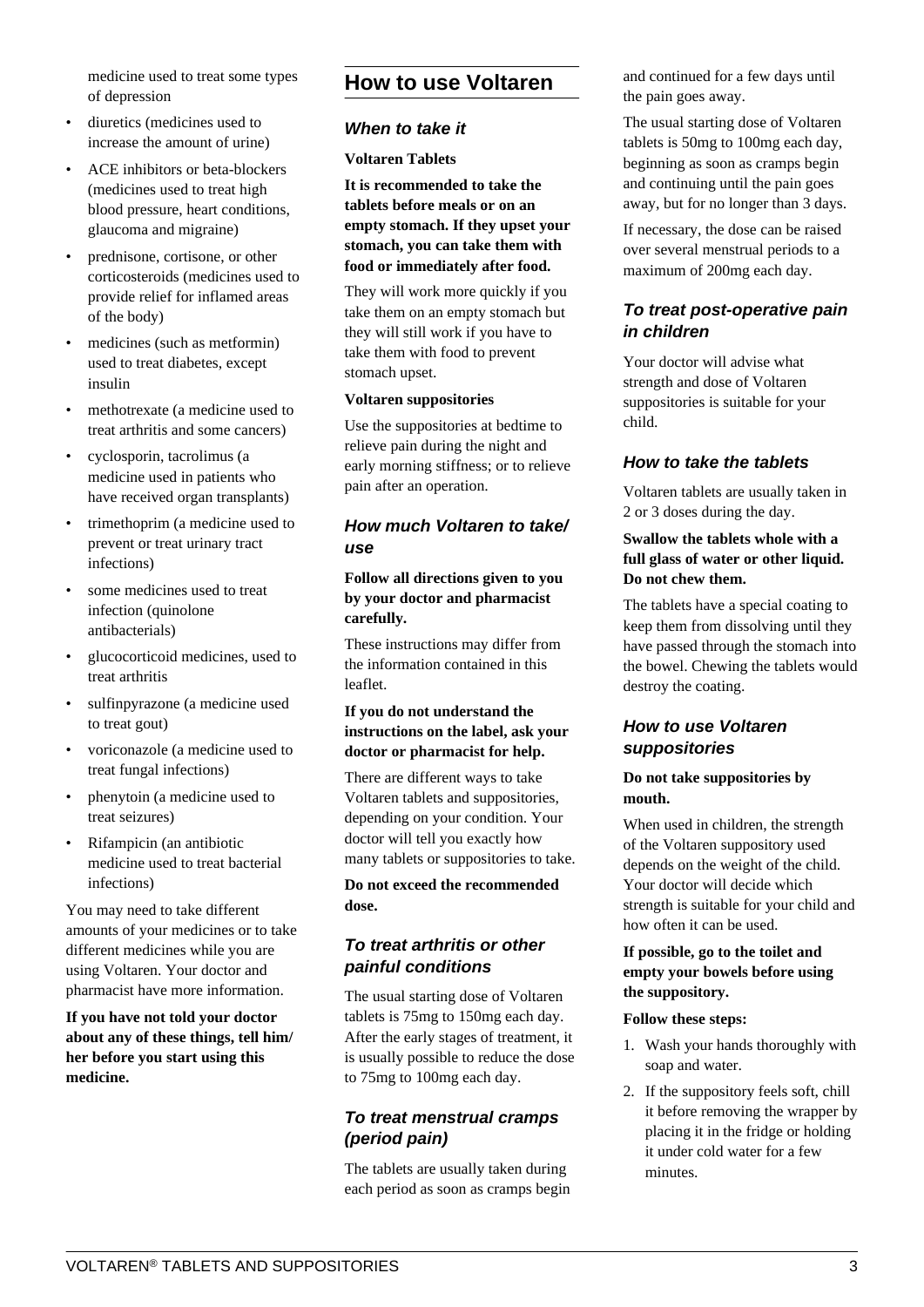medicine used to treat some types of depression

- diuretics (medicines used to increase the amount of urine)
- ACE inhibitors or beta-blockers (medicines used to treat high blood pressure, heart conditions, glaucoma and migraine)
- prednisone, cortisone, or other corticosteroids (medicines used to provide relief for inflamed areas of the body)
- medicines (such as metformin) used to treat diabetes, except insulin
- methotrexate (a medicine used to treat arthritis and some cancers)
- cyclosporin, tacrolimus (a medicine used in patients who have received organ transplants)
- trimethoprim (a medicine used to prevent or treat urinary tract infections)
- some medicines used to treat infection (quinolone antibacterials)
- glucocorticoid medicines, used to treat arthritis
- sulfinpyrazone (a medicine used to treat gout)
- voriconazole (a medicine used to treat fungal infections)
- phenytoin (a medicine used to treat seizures)
- Rifampicin (an antibiotic medicine used to treat bacterial infections)

You may need to take different amounts of your medicines or to take different medicines while you are using Voltaren. Your doctor and pharmacist have more information.

**If you have not told your doctor about any of these things, tell him/ her before you start using this medicine.**

# **How to use Voltaren**

#### **When to take it**

#### **Voltaren Tablets**

**It is recommended to take the tablets before meals or on an empty stomach. If they upset your stomach, you can take them with food or immediately after food.**

They will work more quickly if you take them on an empty stomach but they will still work if you have to take them with food to prevent stomach upset.

#### **Voltaren suppositories**

Use the suppositories at bedtime to relieve pain during the night and early morning stiffness; or to relieve pain after an operation.

# **How much Voltaren to take/ use**

#### **Follow all directions given to you by your doctor and pharmacist carefully.**

These instructions may differ from the information contained in this leaflet.

#### **If you do not understand the instructions on the label, ask your doctor or pharmacist for help.**

There are different ways to take Voltaren tablets and suppositories, depending on your condition. Your doctor will tell you exactly how many tablets or suppositories to take.

#### **Do not exceed the recommended dose.**

# **To treat arthritis or other painful conditions**

The usual starting dose of Voltaren tablets is 75mg to 150mg each day. After the early stages of treatment, it is usually possible to reduce the dose to 75mg to 100mg each day.

# **To treat menstrual cramps (period pain)**

The tablets are usually taken during each period as soon as cramps begin and continued for a few days until the pain goes away.

The usual starting dose of Voltaren tablets is 50mg to 100mg each day, beginning as soon as cramps begin and continuing until the pain goes away, but for no longer than 3 days.

If necessary, the dose can be raised over several menstrual periods to a maximum of 200mg each day.

# **To treat post-operative pain in children**

Your doctor will advise what strength and dose of Voltaren suppositories is suitable for your child.

### **How to take the tablets**

Voltaren tablets are usually taken in 2 or 3 doses during the day.

#### **Swallow the tablets whole with a full glass of water or other liquid. Do not chew them.**

The tablets have a special coating to keep them from dissolving until they have passed through the stomach into the bowel. Chewing the tablets would destroy the coating.

# **How to use Voltaren suppositories**

#### **Do not take suppositories by mouth.**

When used in children, the strength of the Voltaren suppository used depends on the weight of the child. Your doctor will decide which strength is suitable for your child and how often it can be used.

#### **If possible, go to the toilet and empty your bowels before using the suppository.**

#### **Follow these steps:**

- 1. Wash your hands thoroughly with soap and water.
- 2. If the suppository feels soft, chill it before removing the wrapper by placing it in the fridge or holding it under cold water for a few minutes.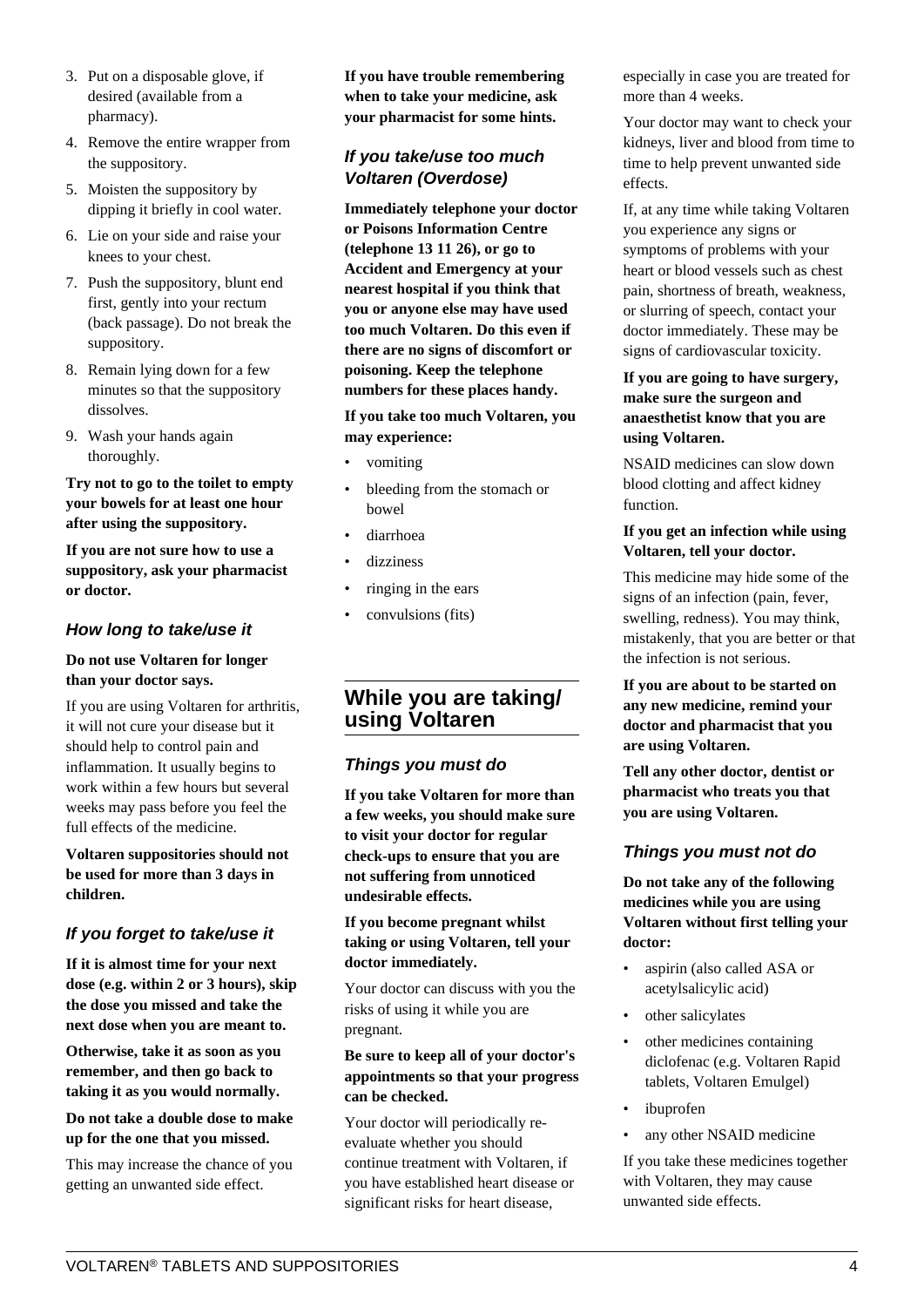- 3. Put on a disposable glove, if desired (available from a pharmacy).
- 4. Remove the entire wrapper from the suppository.
- 5. Moisten the suppository by dipping it briefly in cool water.
- 6. Lie on your side and raise your knees to your chest.
- 7. Push the suppository, blunt end first, gently into your rectum (back passage). Do not break the suppository.
- 8. Remain lying down for a few minutes so that the suppository dissolves.
- 9. Wash your hands again thoroughly.

**Try not to go to the toilet to empty your bowels for at least one hour after using the suppository.**

**If you are not sure how to use a suppository, ask your pharmacist or doctor.**

# **How long to take/use it**

#### **Do not use Voltaren for longer than your doctor says.**

If you are using Voltaren for arthritis, it will not cure your disease but it should help to control pain and inflammation. It usually begins to work within a few hours but several weeks may pass before you feel the full effects of the medicine.

**Voltaren suppositories should not be used for more than 3 days in children.**

# **If you forget to take/use it**

**If it is almost time for your next dose (e.g. within 2 or 3 hours), skip the dose you missed and take the next dose when you are meant to.**

**Otherwise, take it as soon as you remember, and then go back to taking it as you would normally.**

#### **Do not take a double dose to make up for the one that you missed.**

This may increase the chance of you getting an unwanted side effect.

**If you have trouble remembering when to take your medicine, ask your pharmacist for some hints.**

# **If you take/use too much Voltaren (Overdose)**

**Immediately telephone your doctor or Poisons Information Centre (telephone 13 11 26), or go to Accident and Emergency at your nearest hospital if you think that you or anyone else may have used too much Voltaren. Do this even if there are no signs of discomfort or poisoning. Keep the telephone numbers for these places handy.**

#### **If you take too much Voltaren, you may experience:**

- vomiting
- bleeding from the stomach or bowel
- diarrhoea
- dizziness
- ringing in the ears
- convulsions (fits)

# **While you are taking/ using Voltaren**

# **Things you must do**

**If you take Voltaren for more than a few weeks, you should make sure to visit your doctor for regular check-ups to ensure that you are not suffering from unnoticed undesirable effects.**

#### **If you become pregnant whilst taking or using Voltaren, tell your doctor immediately.**

Your doctor can discuss with you the risks of using it while you are pregnant.

#### **Be sure to keep all of your doctor's appointments so that your progress can be checked.**

Your doctor will periodically reevaluate whether you should continue treatment with Voltaren, if you have established heart disease or significant risks for heart disease,

especially in case you are treated for more than 4 weeks.

Your doctor may want to check your kidneys, liver and blood from time to time to help prevent unwanted side effects.

If, at any time while taking Voltaren you experience any signs or symptoms of problems with your heart or blood vessels such as chest pain, shortness of breath, weakness, or slurring of speech, contact your doctor immediately. These may be signs of cardiovascular toxicity.

#### **If you are going to have surgery, make sure the surgeon and anaesthetist know that you are using Voltaren.**

NSAID medicines can slow down blood clotting and affect kidney function.

#### **If you get an infection while using Voltaren, tell your doctor.**

This medicine may hide some of the signs of an infection (pain, fever, swelling, redness). You may think, mistakenly, that you are better or that the infection is not serious.

**If you are about to be started on any new medicine, remind your doctor and pharmacist that you are using Voltaren.**

**Tell any other doctor, dentist or pharmacist who treats you that you are using Voltaren.**

# **Things you must not do**

**Do not take any of the following medicines while you are using Voltaren without first telling your doctor:**

- aspirin (also called ASA or acetylsalicylic acid)
- other salicylates
- other medicines containing diclofenac (e.g. Voltaren Rapid tablets, Voltaren Emulgel)
- ibuprofen
- any other NSAID medicine

If you take these medicines together with Voltaren, they may cause unwanted side effects.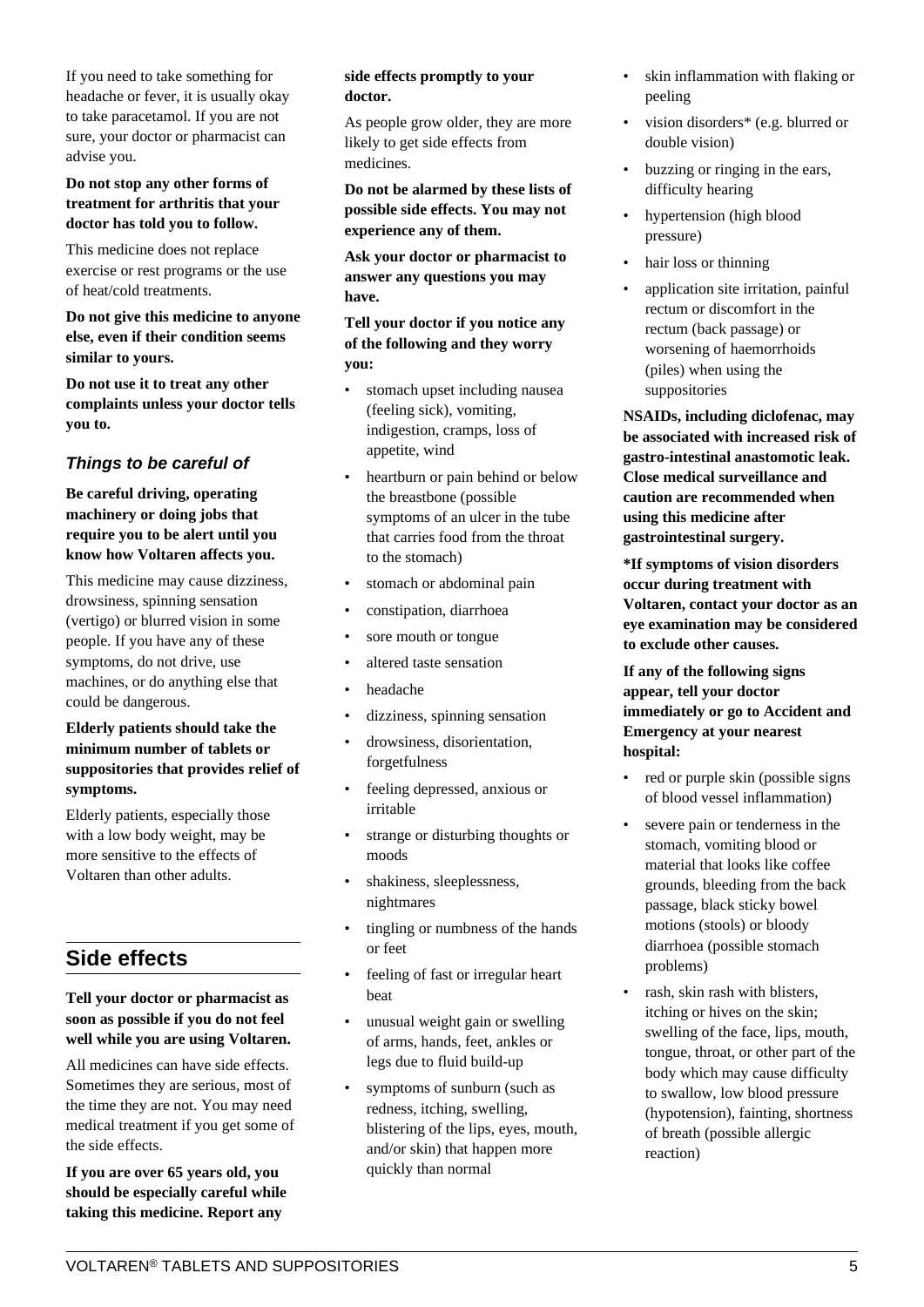#### **Do not stop any other forms of treatment for arthritis that your doctor has told you to follow.**

This medicine does not replace exercise or rest programs or the use of heat/cold treatments.

#### **Do not give this medicine to anyone else, even if their condition seems similar to yours.**

**Do not use it to treat any other complaints unless your doctor tells you to.**

# **Things to be careful of**

**Be careful driving, operating machinery or doing jobs that require you to be alert until you know how Voltaren affects you.**

This medicine may cause dizziness, drowsiness, spinning sensation (vertigo) or blurred vision in some people. If you have any of these symptoms, do not drive, use machines, or do anything else that could be dangerous.

#### **Elderly patients should take the minimum number of tablets or suppositories that provides relief of symptoms.**

Elderly patients, especially those with a low body weight, may be more sensitive to the effects of Voltaren than other adults.

# **Side effects**

#### **Tell your doctor or pharmacist as soon as possible if you do not feel well while you are using Voltaren.**

All medicines can have side effects. Sometimes they are serious, most of the time they are not. You may need medical treatment if you get some of the side effects.

**If you are over 65 years old, you should be especially careful while taking this medicine. Report any**

#### **side effects promptly to your doctor.**

As people grow older, they are more likely to get side effects from medicines.

**Do not be alarmed by these lists of possible side effects. You may not experience any of them.**

**Ask your doctor or pharmacist to answer any questions you may have.**

**Tell your doctor if you notice any of the following and they worry you:**

- stomach upset including nausea (feeling sick), vomiting, indigestion, cramps, loss of appetite, wind
- heartburn or pain behind or below the breastbone (possible symptoms of an ulcer in the tube that carries food from the throat to the stomach)
- stomach or abdominal pain
- constipation, diarrhoea
- sore mouth or tongue
- altered taste sensation
- headache
- dizziness, spinning sensation
- drowsiness, disorientation, forgetfulness
- feeling depressed, anxious or irritable
- strange or disturbing thoughts or moods
- shakiness, sleeplessness, nightmares
- tingling or numbness of the hands or feet
- feeling of fast or irregular heart beat
- unusual weight gain or swelling of arms, hands, feet, ankles or legs due to fluid build-up
- symptoms of sunburn (such as redness, itching, swelling, blistering of the lips, eyes, mouth, and/or skin) that happen more quickly than normal
- skin inflammation with flaking or peeling
- vision disorders\* (e.g. blurred or double vision)
- buzzing or ringing in the ears, difficulty hearing
- hypertension (high blood pressure)
- hair loss or thinning
- application site irritation, painful rectum or discomfort in the rectum (back passage) or worsening of haemorrhoids (piles) when using the suppositories

**NSAIDs, including diclofenac, may be associated with increased risk of gastro-intestinal anastomotic leak. Close medical surveillance and caution are recommended when using this medicine after gastrointestinal surgery.**

**\*If symptoms of vision disorders occur during treatment with Voltaren, contact your doctor as an eye examination may be considered to exclude other causes.**

**If any of the following signs appear, tell your doctor immediately or go to Accident and Emergency at your nearest hospital:**

- red or purple skin (possible signs of blood vessel inflammation)
- severe pain or tenderness in the stomach, vomiting blood or material that looks like coffee grounds, bleeding from the back passage, black sticky bowel motions (stools) or bloody diarrhoea (possible stomach problems)
- rash, skin rash with blisters, itching or hives on the skin; swelling of the face, lips, mouth, tongue, throat, or other part of the body which may cause difficulty to swallow, low blood pressure (hypotension), fainting, shortness of breath (possible allergic reaction)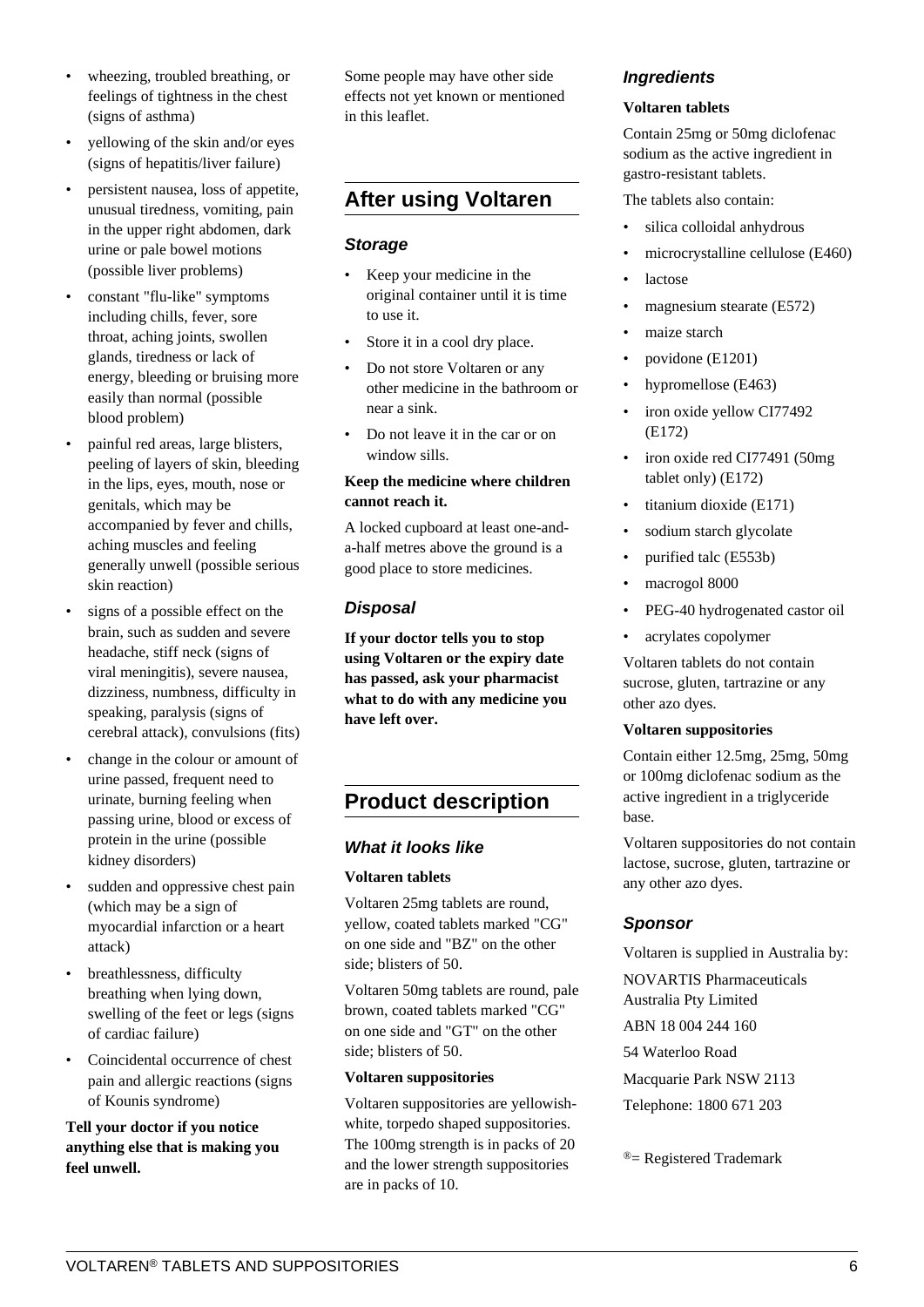- wheezing, troubled breathing, or feelings of tightness in the chest (signs of asthma)
- yellowing of the skin and/or eyes (signs of hepatitis/liver failure)
- persistent nausea, loss of appetite, unusual tiredness, vomiting, pain in the upper right abdomen, dark urine or pale bowel motions (possible liver problems)
- constant "flu-like" symptoms including chills, fever, sore throat, aching joints, swollen glands, tiredness or lack of energy, bleeding or bruising more easily than normal (possible blood problem)
- painful red areas, large blisters, peeling of layers of skin, bleeding in the lips, eyes, mouth, nose or genitals, which may be accompanied by fever and chills, aching muscles and feeling generally unwell (possible serious skin reaction)
- signs of a possible effect on the brain, such as sudden and severe headache, stiff neck (signs of viral meningitis), severe nausea, dizziness, numbness, difficulty in speaking, paralysis (signs of cerebral attack), convulsions (fits)
- change in the colour or amount of urine passed, frequent need to urinate, burning feeling when passing urine, blood or excess of protein in the urine (possible kidney disorders)
- sudden and oppressive chest pain (which may be a sign of myocardial infarction or a heart attack)
- breathlessness, difficulty breathing when lying down, swelling of the feet or legs (signs of cardiac failure)
- Coincidental occurrence of chest pain and allergic reactions (signs of Kounis syndrome)

#### **Tell your doctor if you notice anything else that is making you feel unwell.**

Some people may have other side effects not yet known or mentioned in this leaflet.

# **After using Voltaren**

#### **Storage**

- Keep your medicine in the original container until it is time to use it.
- Store it in a cool dry place.
- Do not store Voltaren or any other medicine in the bathroom or near a sink.
- Do not leave it in the car or on window sills.

#### **Keep the medicine where children cannot reach it.**

A locked cupboard at least one-anda-half metres above the ground is a good place to store medicines.

# **Disposal**

**If your doctor tells you to stop using Voltaren or the expiry date has passed, ask your pharmacist what to do with any medicine you have left over.**

# **Product description**

# **What it looks like**

#### **Voltaren tablets**

Voltaren 25mg tablets are round, yellow, coated tablets marked "CG" on one side and "BZ" on the other side; blisters of 50.

Voltaren 50mg tablets are round, pale brown, coated tablets marked "CG" on one side and "GT" on the other side; blisters of 50.

#### **Voltaren suppositories**

Voltaren suppositories are yellowishwhite, torpedo shaped suppositories. The 100mg strength is in packs of 20 and the lower strength suppositories are in packs of 10.

# **Ingredients**

#### **Voltaren tablets**

Contain 25mg or 50mg diclofenac sodium as the active ingredient in gastro-resistant tablets.

The tablets also contain:

- silica colloidal anhydrous
- microcrystalline cellulose (E460)
- **lactose**
- magnesium stearate (E572)
- maize starch
- povidone (E1201)
- hypromellose (E463)
- iron oxide yellow CI77492 (E172)
- iron oxide red CI77491 (50mg tablet only) (E172)
- titanium dioxide (E171)
- sodium starch glycolate
- purified talc (E553b)
- macrogol 8000
- PEG-40 hydrogenated castor oil
- acrylates copolymer

Voltaren tablets do not contain sucrose, gluten, tartrazine or any other azo dyes.

#### **Voltaren suppositories**

Contain either 12.5mg, 25mg, 50mg or 100mg diclofenac sodium as the active ingredient in a triglyceride base.

Voltaren suppositories do not contain lactose, sucrose, gluten, tartrazine or any other azo dyes.

# **Sponsor**

Voltaren is supplied in Australia by:

NOVARTIS Pharmaceuticals Australia Pty Limited ABN 18 004 244 160 54 Waterloo Road Macquarie Park NSW 2113 Telephone: 1800 671 203

 $^{\circledR}$  = Registered Trademark